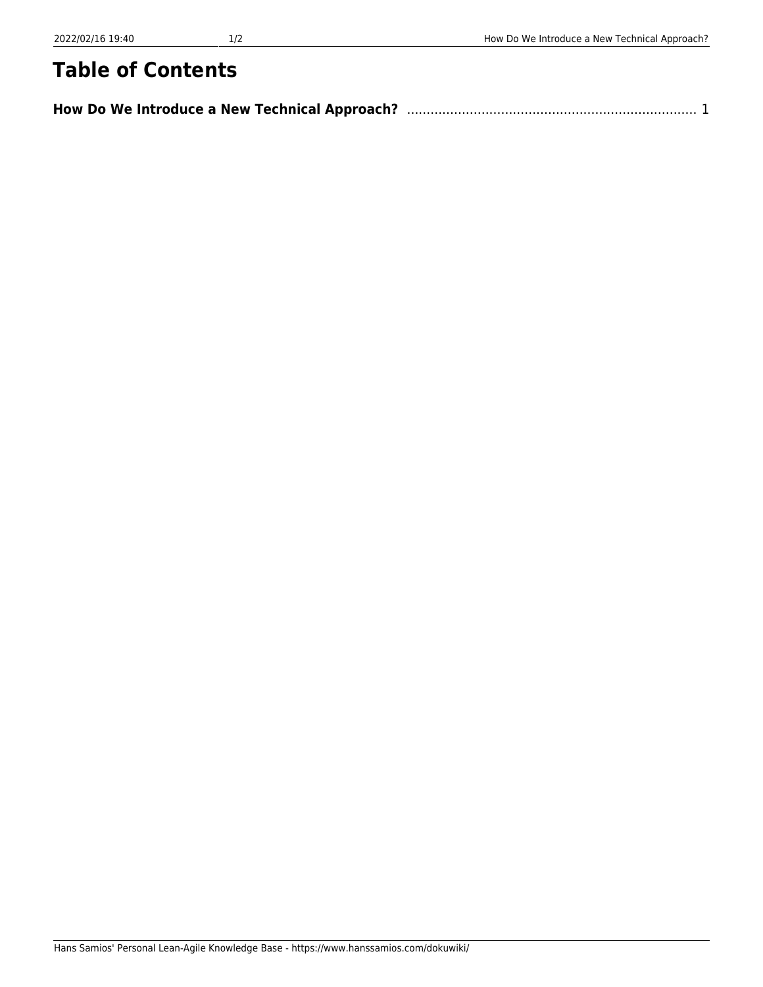## **Table of Contents**

| How Do We Introduce a New Technical Approach? |  |
|-----------------------------------------------|--|
|-----------------------------------------------|--|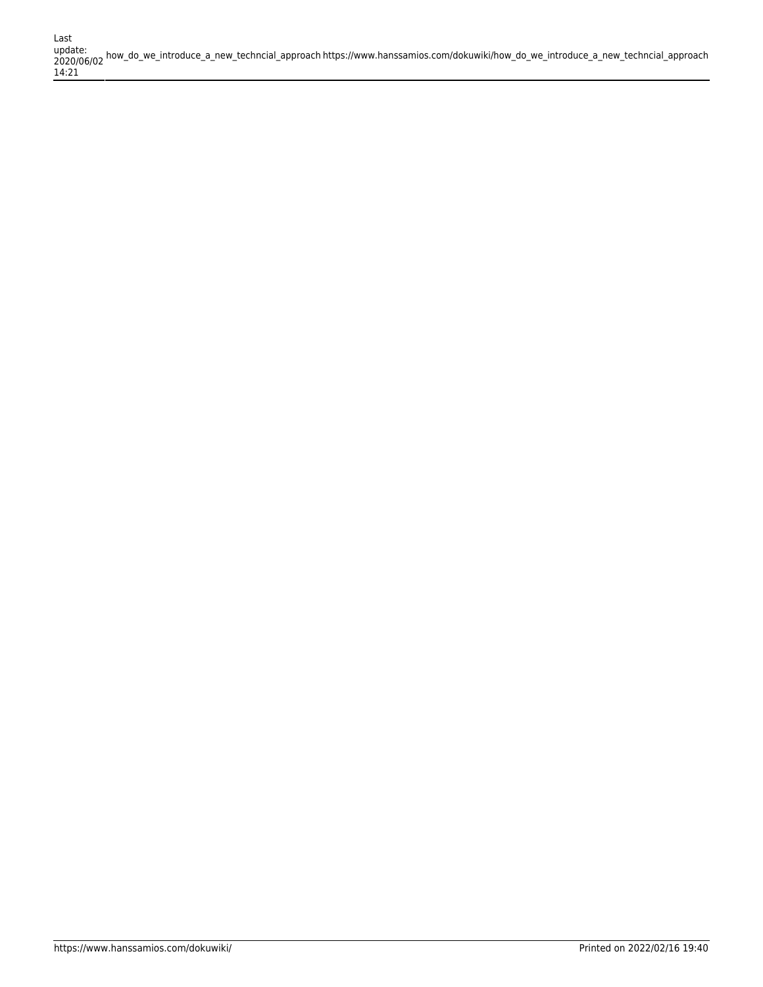Last update: 2020/06/02 14:21 how\_do\_we\_introduce\_a\_new\_techncial\_approach https://www.hanssamios.com/dokuwiki/how\_do\_we\_introduce\_a\_new\_techncial\_approach